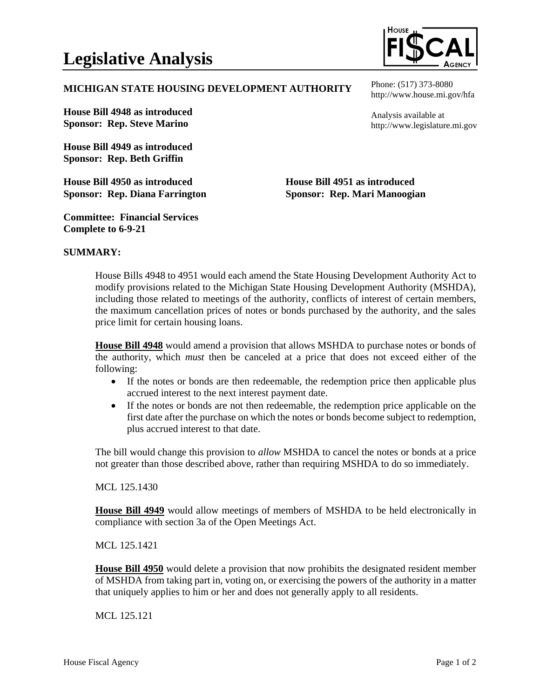

## **MICHIGAN STATE HOUSING DEVELOPMENT AUTHORITY**

**House Bill 4948 as introduced Sponsor: Rep. Steve Marino**

**House Bill 4949 as introduced Sponsor: Rep. Beth Griffin**

**House Bill 4950 as introduced Sponsor: Rep. Diana Farrington** Phone: (517) 373-8080 http://www.house.mi.gov/hfa

Analysis available at http://www.legislature.mi.gov

**House Bill 4951 as introduced Sponsor: Rep. Mari Manoogian**

**Committee: Financial Services Complete to 6-9-21**

### **SUMMARY:**

House Bills 4948 to 4951 would each amend the State Housing Development Authority Act to modify provisions related to the Michigan State Housing Development Authority (MSHDA), including those related to meetings of the authority, conflicts of interest of certain members, the maximum cancellation prices of notes or bonds purchased by the authority, and the sales price limit for certain housing loans.

**House Bill 4948** would amend a provision that allows MSHDA to purchase notes or bonds of the authority, which *must* then be canceled at a price that does not exceed either of the following:

- If the notes or bonds are then redeemable, the redemption price then applicable plus accrued interest to the next interest payment date.
- If the notes or bonds are not then redeemable, the redemption price applicable on the first date after the purchase on which the notes or bonds become subject to redemption, plus accrued interest to that date.

The bill would change this provision to *allow* MSHDA to cancel the notes or bonds at a price not greater than those described above, rather than requiring MSHDA to do so immediately.

#### MCL 125.1430

**House Bill 4949** would allow meetings of members of MSHDA to be held electronically in compliance with section 3a of the Open Meetings Act.

#### MCL 125.1421

**House Bill 4950** would delete a provision that now prohibits the designated resident member of MSHDA from taking part in, voting on, or exercising the powers of the authority in a matter that uniquely applies to him or her and does not generally apply to all residents.

MCL 125.121